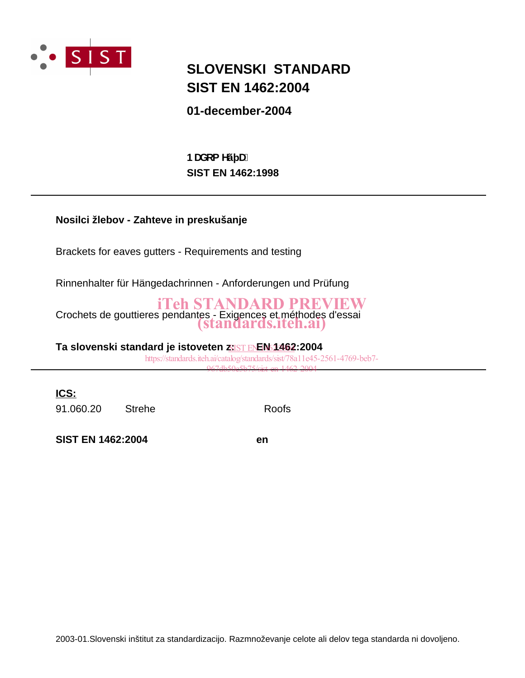

# **SIST EN 1462:2004 SLOVENSKI STANDARD**

### **01-december-2004**

**SIST EN 1462:1998 BUXca Yý U.** 

**Nosilci žlebov - Zahteve in preskušanje**

Brackets for eaves gutters - Requirements and testing

Rinnenhalter für Hängedachrinnen - Anforderungen und Prüfung

Crochets de gouttieres pendantes - Exigences et méthodes d'essai (standards.iteh.ai) iTeh STANDARD PREVIEW

**Ta slovenski standard je istoveten z: EN 1462:2004** SIST EN 1462:2004 https://standards.iteh.ai/catalog/standards/sist/78a11e45-2561-4769-beb7- 967db50e5b75/sist-en-1462-2004

**ICS:**

91.060.20 Strehe Roofs

**SIST EN 1462:2004 en**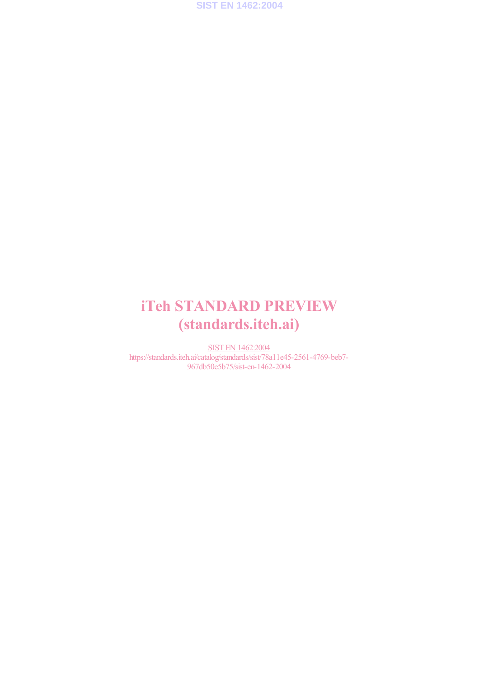**SIST EN 1462:2004**

# iTeh STANDARD PREVIEW (standards.iteh.ai)

SIST EN 1462:2004 https://standards.iteh.ai/catalog/standards/sist/78a11e45-2561-4769-beb7- 967db50e5b75/sist-en-1462-2004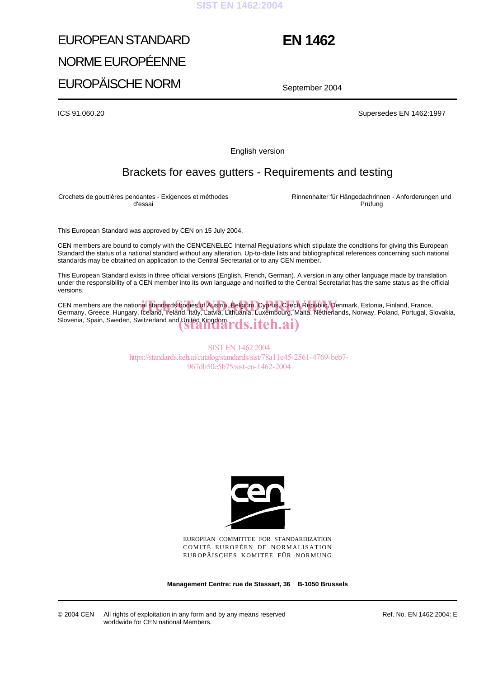#### **SIST EN 1462:2004**

# EUROPEAN STANDARD NORME EUROPÉENNE EUROPÄISCHE NORM

# **EN 1462**

September 2004

ICS 91.060.20 Supersedes EN 1462:1997

English version

### Brackets for eaves gutters - Requirements and testing

Crochets de gouttières pendantes - Exigences et méthodes d'essai

Rinnenhalter für Hängedachrinnen - Anforderungen und Prüfung

This European Standard was approved by CEN on 15 July 2004.

CEN members are bound to comply with the CEN/CENELEC Internal Regulations which stipulate the conditions for giving this European Standard the status of a national standard without any alteration. Up-to-date lists and bibliographical references concerning such national standards may be obtained on application to the Central Secretariat or to any CEN member.

This European Standard exists in three official versions (English, French, German). A version in any other language made by translation under the responsibility of a CEN member into its own language and notified to the Central Secretariat has the same status as the official versions.

CEN members are the national standards bodies of Austria, Belgium, Cyprus, Czech Republic, Denmark, Estonia, Finland, France, CEN members are the national standards bodies of Austria, Belgium, Cyprus, Czech Republic, Denmark, Estonia, Finland, France,<br>Germany, Greece, Hungary, Iceland, Ireland, Italy, Latvia, Lithuania, Luxembourg, Malta, Netherl Slovenia, Spain, Sweden, Switzerland and United Kingdom.rds.iteh.ai)

> SIST EN 1462:2004 https://standards.iteh.ai/catalog/standards/sist/78a11e45-2561-4769-beb7- 967db50e5b75/sist-en-1462-2004



EUROPEAN COMMITTEE FOR STANDARDIZATION COMITÉ EUROPÉEN DE NORMALISATION EUROPÄISCHES KOMITEE FÜR NORMUNG

**Management Centre: rue de Stassart, 36 B-1050 Brussels**

© 2004 CEN All rights of exploitation in any form and by any means reserved worldwide for CEN national Members.

Ref. No. EN 1462:2004: E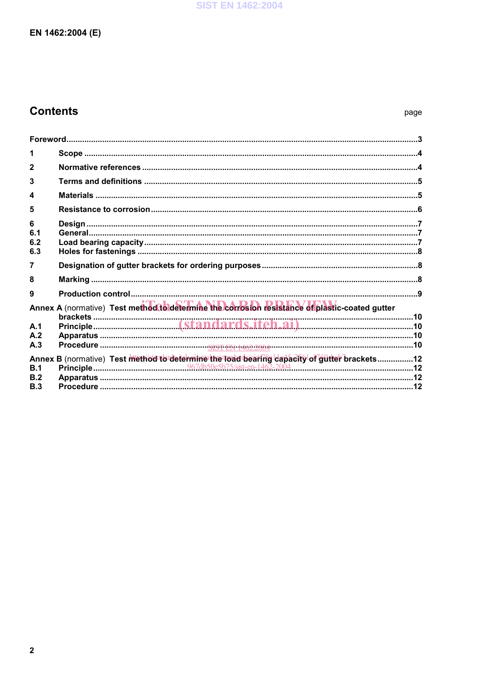# **Contents**

| $\mathbf{2}$                                                                                   |                                                                                             |  |  |
|------------------------------------------------------------------------------------------------|---------------------------------------------------------------------------------------------|--|--|
| 3                                                                                              |                                                                                             |  |  |
| 4                                                                                              |                                                                                             |  |  |
| 5                                                                                              |                                                                                             |  |  |
| 6<br>6.1<br>6.2<br>6.3                                                                         |                                                                                             |  |  |
| $\overline{7}$                                                                                 |                                                                                             |  |  |
| 8                                                                                              |                                                                                             |  |  |
| 9                                                                                              |                                                                                             |  |  |
| Annex A (normative) Test method to determine the corrosion resistance of plastic-coated gutter |                                                                                             |  |  |
| A.1<br>A.2<br>A.3                                                                              |                                                                                             |  |  |
| <b>B.1</b><br>B.2<br><b>B.3</b>                                                                | Annex B (normative) Test method to determine the todd bearing capacity of gutter brackets12 |  |  |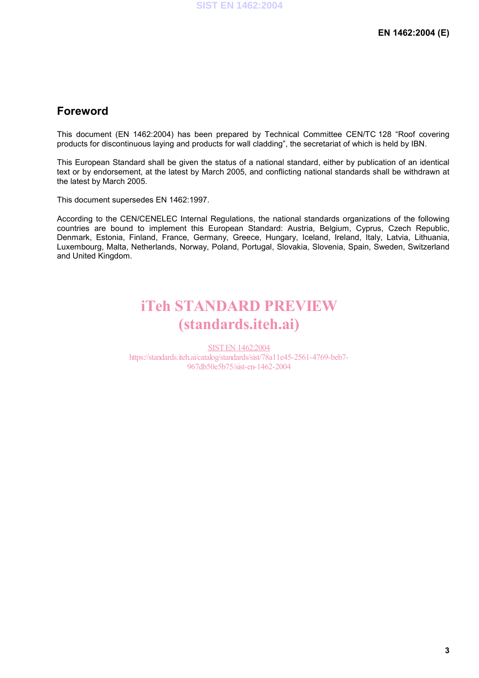### **Foreword**

This document (EN 1462:2004) has been prepared by Technical Committee CEN/TC 128 "Roof covering products for discontinuous laying and products for wall cladding", the secretariat of which is held by IBN.

This European Standard shall be given the status of a national standard, either by publication of an identical text or by endorsement, at the latest by March 2005, and conflicting national standards shall be withdrawn at the latest by March 2005.

This document supersedes EN 1462:1997.

According to the CEN/CENELEC Internal Regulations, the national standards organizations of the following countries are bound to implement this European Standard: Austria, Belgium, Cyprus, Czech Republic, Denmark, Estonia, Finland, France, Germany, Greece, Hungary, Iceland, Ireland, Italy, Latvia, Lithuania, Luxembourg, Malta, Netherlands, Norway, Poland, Portugal, Slovakia, Slovenia, Spain, Sweden, Switzerland and United Kingdom.

# iTeh STANDARD PREVIEW (standards.iteh.ai)

SIST EN 1462:2004 https://standards.iteh.ai/catalog/standards/sist/78a11e45-2561-4769-beb7- 967db50e5b75/sist-en-1462-2004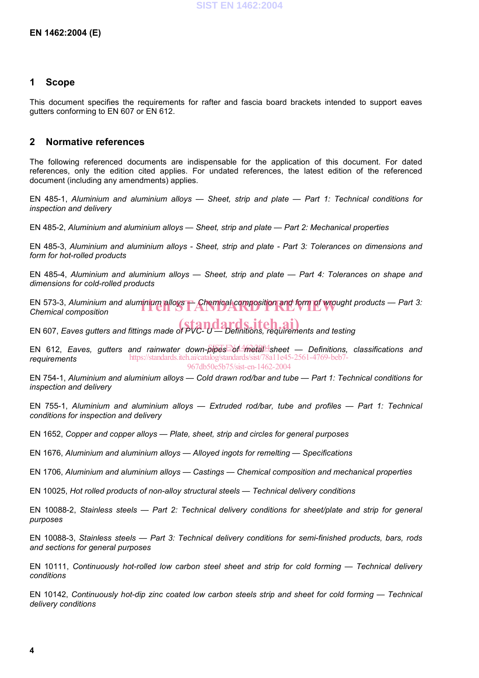#### **1 Scope**

This document specifies the requirements for rafter and fascia board brackets intended to support eaves gutters conforming to EN 607 or EN 612.

#### **2 Normative references**

The following referenced documents are indispensable for the application of this document. For dated references, only the edition cited applies. For undated references, the latest edition of the referenced document (including any amendments) applies.

EN 485-1, *Aluminium and aluminium alloys — Sheet, strip and plate — Part 1: Technical conditions for inspection and delivery*

EN 485-2, *Aluminium and aluminium alloys — Sheet, strip and plate — Part 2: Mechanical properties*

EN 485-3, *Aluminium and aluminium alloys - Sheet, strip and plate - Part 3: Tolerances on dimensions and form for hot-rolled products*

EN 485-4, *Aluminium and aluminium alloys — Sheet, strip and plate — Part 4: Tolerances on shape and dimensions for cold-rolled products*

EN 573-3, Aluminium and aluminium alloys **— Chemical composition and form of wro**ught products — Part 3:<br>Chemical composition *Chemical composition*

EN 607, *Eaves gutters and fittings made of PVC-U* — Definitions, requirements and testing

EN 612, Eaves, gutters and rainwater down-pipes of metal<sup>pa</sup>sheet — Definitions, classifications and *requirements* https://standards.iteh.ai/catalog/standards/sist/78a11e45-2561-4769-beb7- 967db50e5b75/sist-en-1462-2004

EN 754-1, *Aluminium and aluminium alloys — Cold drawn rod/bar and tube — Part 1: Technical conditions for inspection and delivery*

EN 755-1, *Aluminium and aluminium alloys — Extruded rod/bar, tube and profiles — Part 1: Technical conditions for inspection and delivery*

EN 1652, *Copper and copper alloys — Plate, sheet, strip and circles for general purposes*

EN 1676, *Aluminium and aluminium alloys — Alloyed ingots for remelting — Specifications*

EN 1706, *Aluminium and aluminium alloys — Castings — Chemical composition and mechanical properties*

EN 10025, *Hot rolled products of non-alloy structural steels — Technical delivery conditions*

EN 10088-2, *Stainless steels — Part 2: Technical delivery conditions for sheet/plate and strip for general purposes*

EN 10088-3, *Stainless steels — Part 3: Technical delivery conditions for semi-finished products, bars, rods and sections for general purposes*

EN 10111, *Continuously hot-rolled low carbon steel sheet and strip for cold forming — Technical delivery conditions*

EN 10142, *Continuously hot-dip zinc coated low carbon steels strip and sheet for cold forming — Technical delivery conditions*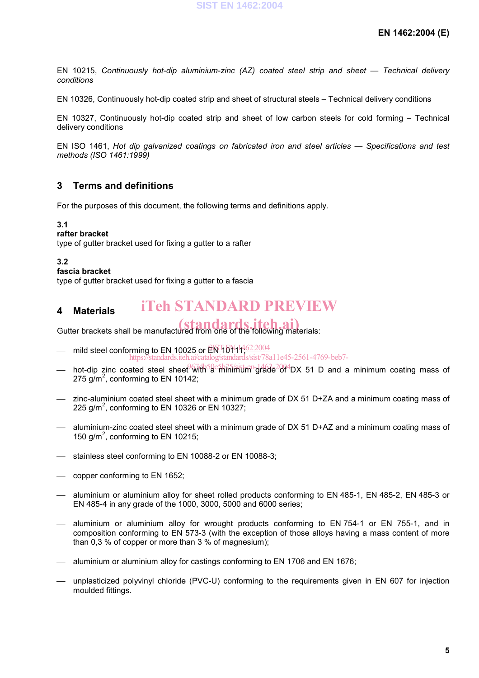EN 10215, *Continuously hot-dip aluminium-zinc (AZ) coated steel strip and sheet — Technical delivery conditions* 

EN 10326, Continuously hot-dip coated strip and sheet of structural steels – Technical delivery conditions

EN 10327, Continuously hot-dip coated strip and sheet of low carbon steels for cold forming – Technical delivery conditions

EN ISO 1461, *Hot dip galvanized coatings on fabricated iron and steel articles — Specifications and test methods (ISO 1461:1999)*

#### **3 Terms and definitions**

For the purposes of this document, the following terms and definitions apply.

#### **3.1**

#### **rafter bracket**

type of gutter bracket used for fixing a gutter to a rafter

**3.2** 

#### **fascia bracket**

**4 Materials** 

type of gutter bracket used for fixing a gutter to a fascia

# iTeh STANDARD PREVIEW

Gutter brackets shall be manufactured from one of the following materials:

- $-$  mild steel conforming to EN 10025 or EN 101462:2004 https://standards.iteh.ai/catalog/standards/sist/78a11e45-2561-4769-beb7-
- hot-dip zinc coated steel sheet With  $50^\circ$ minimum grade  $20^\circ$  DX 51 D and a minimum coating mass of 275  $g/m^2$ , conforming to EN 10142;
- zinc-aluminium coated steel sheet with a minimum grade of DX 51 D+ZA and a minimum coating mass of 225 g/m<sup>2</sup>, conforming to EN 10326 or EN 10327;
- aluminium-zinc coated steel sheet with a minimum grade of DX 51 D+AZ and a minimum coating mass of 150 g/m<sup>2</sup>, conforming to EN 10215;
- stainless steel conforming to EN 10088-2 or EN 10088-3;
- copper conforming to EN 1652;
- aluminium or aluminium alloy for sheet rolled products conforming to EN 485-1, EN 485-2, EN 485-3 or EN 485-4 in any grade of the 1000, 3000, 5000 and 6000 series;
- aluminium or aluminium alloy for wrought products conforming to EN 754-1 or EN 755-1, and in composition conforming to EN 573-3 (with the exception of those alloys having a mass content of more than 0,3 % of copper or more than 3 % of magnesium);
- aluminium or aluminium alloy for castings conforming to EN 1706 and EN 1676;
- unplasticized polyvinyl chloride (PVC-U) conforming to the requirements given in EN 607 for injection moulded fittings.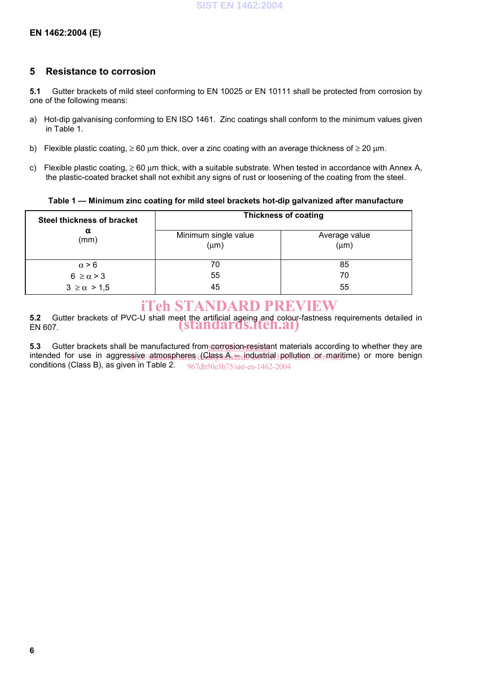#### **5 Resistance to corrosion**

**5.1** Gutter brackets of mild steel conforming to EN 10025 or EN 10111 shall be protected from corrosion by one of the following means:

- a) Hot-dip galvanising conforming to EN ISO 1461. Zinc coatings shall conform to the minimum values given in Table 1.
- b) Flexible plastic coating,  $\geq 60$  um thick, over a zinc coating with an average thickness of  $\geq 20$  um.
- c) Flexible plastic coating,  $\geq 60$  µm thick, with a suitable substrate. When tested in accordance with Annex A, the plastic-coated bracket shall not exhibit any signs of rust or loosening of the coating from the steel.

**Table 1 — Minimum zinc coating for mild steel brackets hot-dip galvanized after manufacture** 

| <b>Steel thickness of bracket</b> | <b>Thickness of coating</b>       |                            |
|-----------------------------------|-----------------------------------|----------------------------|
| α<br>(mm)                         | Minimum single value<br>$(\mu m)$ | Average value<br>$(\mu m)$ |
| $\alpha > 6$                      | 70                                | 85                         |
| $6 \ge \alpha > 3$                | 55                                | 70                         |
| $3 \geq \alpha > 1.5$             | 45                                | 55                         |

### iTeh STANDARD PREVIEW

**5.2** Gutter brackets of PVC-U shall meet the artificial ageing and colour-fastness requirements detailed in EN 607. (standards.iteh.ai)

5.3 Gutter brackets shall be manufactured from corrosion-resistant materials according to whether they are intended for use in aggressiye//atmospheres/dClasstA dardndustrial pollution or maritime) or more benign conditions (Class B), as given in Table 2. 967db50e5b75/sist-en-1462-2004